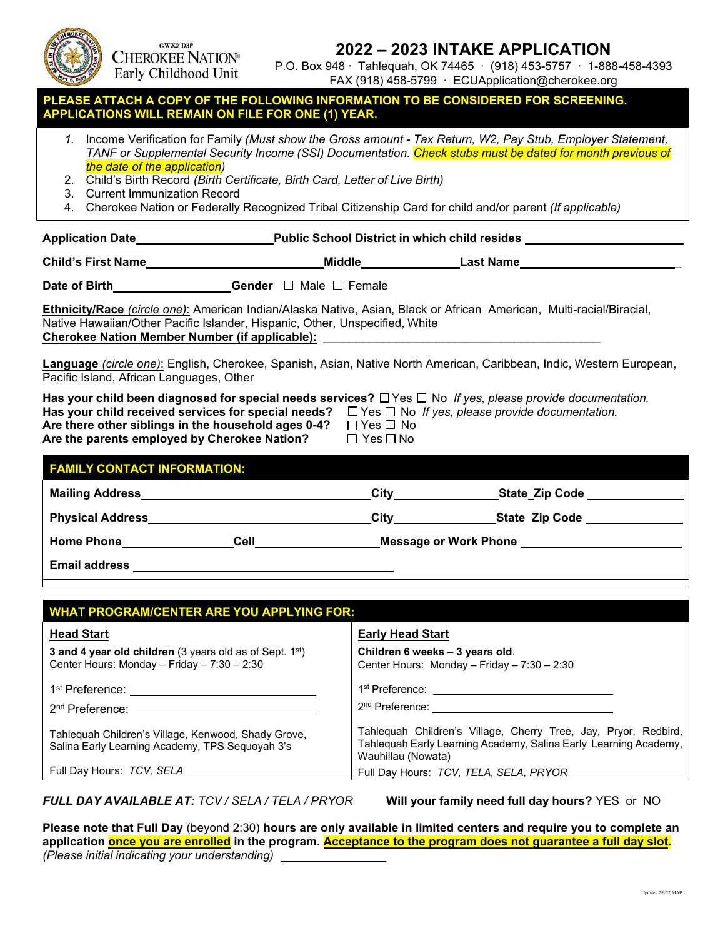

 $GWY.9$  D3P **CHEROKEE NATION®** Early Childhood Unit

# **2022 – 2023 INTAKE APPLICATION**

P.O. Box 948 ∙ Tahlequah, OK 74465 ∙ (918) 453-5757 ∙ 1-888-458-4393 FAX (918) 458-5799 ∙ ECUApplication@cherokee.org

### **REATTACH A COPY OF THE FOLLOWING INFORMATION TO BE CONSIDERED FOR SCREENING. APPLICATIONS WILL REMAIN ON FILE FOR ONE (1) YEAR.**

- *1.* Income Verification for Family *(Must show the Gross amount Tax Return, W2, Pay Stub, Employer Statement, TANF or Supplemental Security Income (SSI) Documentation. Check stubs must be dated for month previous of the date of the application)*
- 2. Child's Birth Record *(Birth Certificate, Birth Card, Letter of Live Birth)*
- 3. Current Immunization Record
- 4. Cherokee Nation or Federally Recognized Tribal Citizenship Card for child and/or parent *(If applicable)*

|                                                                                                                                                                                                                       |                                              | Application Date <b>Application Date Public School District in which child resides</b>                                      |
|-----------------------------------------------------------------------------------------------------------------------------------------------------------------------------------------------------------------------|----------------------------------------------|-----------------------------------------------------------------------------------------------------------------------------|
| Child's First Name                                                                                                                                                                                                    |                                              |                                                                                                                             |
| Date of Birth Gender $\Box$ Male $\Box$ Female                                                                                                                                                                        |                                              |                                                                                                                             |
| Native Hawaiian/Other Pacific Islander, Hispanic, Other, Unspecified, White<br><b>Cherokee Nation Member Number (if applicable):</b>                                                                                  |                                              | <b>Ethnicity/Race</b> (circle one): American Indian/Alaska Native, Asian, Black or African American, Multi-racial/Biracial, |
| Pacific Island, African Languages, Other                                                                                                                                                                              |                                              | Language (circle one): English, Cherokee, Spanish, Asian, Native North American, Caribbean, Indic, Western European,        |
| Has your child received services for special needs? $\Box$ Yes $\Box$ No If yes, please provide documentation.<br>Are there other siblings in the household ages 0-4?<br>Are the parents employed by Cherokee Nation? | $\Box$ Yes $\Box$ No<br>$\Box$ Yes $\Box$ No | Has your child been diagnosed for special needs services? $\Box$ Yes $\Box$ No If yes, please provide documentation.        |
| <b>FAMILY CONTACT INFORMATION:</b>                                                                                                                                                                                    |                                              |                                                                                                                             |

| <b>FAMILY CONTACT INFORMATION:</b> |      |      |                              |  |
|------------------------------------|------|------|------------------------------|--|
| <b>Mailing Address</b>             |      | City | <b>State Zip Code</b>        |  |
| <b>Physical Address</b>            |      | City | <b>State Zip Code</b>        |  |
| <b>Home Phone</b>                  | Cell |      | <b>Message or Work Phone</b> |  |
| <b>Email address</b>               |      |      |                              |  |

| <b>WHAT PROGRAM/CENTER ARE YOU APPLYING FOR:</b>                                                                    |                                                                                                                                                           |  |
|---------------------------------------------------------------------------------------------------------------------|-----------------------------------------------------------------------------------------------------------------------------------------------------------|--|
| <b>Head Start</b>                                                                                                   | <b>Early Head Start</b>                                                                                                                                   |  |
| <b>3 and 4 year old children</b> (3 years old as of Sept. $1^{st}$ )<br>Center Hours: Monday - Friday - 7:30 - 2:30 | Children 6 weeks - 3 years old.<br>Center Hours: Monday - Friday - 7:30 - 2:30                                                                            |  |
| 1st Preference: ____________________________                                                                        | 1 <sup>st</sup> Preference: <u>__________________________________</u>                                                                                     |  |
| 2 <sup>nd</sup> Preference:                                                                                         | 2 <sup>nd</sup> Preference: <u>_____________________</u>                                                                                                  |  |
| Tahlequah Children's Village, Kenwood, Shady Grove,<br>Salina Early Learning Academy, TPS Sequoyah 3's              | Tahlequah Children's Village, Cherry Tree, Jay, Pryor, Redbird,<br>Tahlequah Early Learning Academy, Salina Early Learning Academy,<br>Wauhillau (Nowata) |  |
| Full Day Hours: TCV, SELA                                                                                           | Full Day Hours: TCV, TELA, SELA, PRYOR                                                                                                                    |  |

*FULL DAY AVAILABLE AT: TCV / SELA / TELA / PRYOR* **Will your family need full day hours?** YES or NO

**Please note that Full Day** (beyond 2:30) **hours are only available in limited centers and require you to complete an application once you are enrolled in the program. Acceptance to the program does not guarantee a full day slot.**  *(Please initial indicating your understanding)*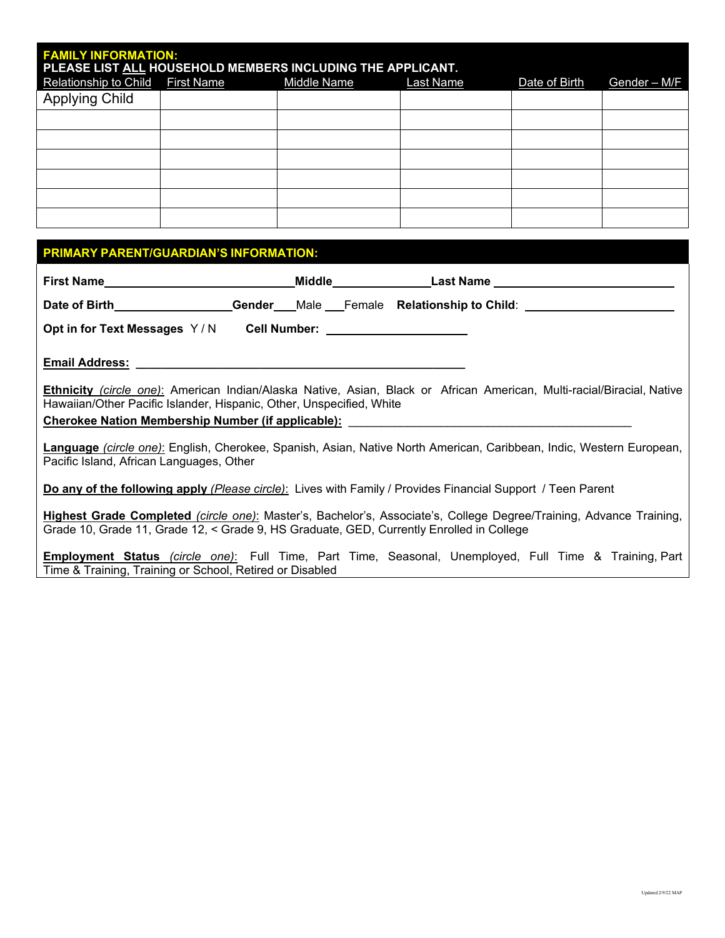| <b>FAMILY INFORMATION:</b>         | PLEASE LIST ALL HOUSEHOLD MEMBERS INCLUDING THE APPLICANT. |             |           |               |              |
|------------------------------------|------------------------------------------------------------|-------------|-----------|---------------|--------------|
| Relationship to Child   First Name |                                                            | Middle Name | Last Name | Date of Birth | Gender - M/F |
| <b>Applying Child</b>              |                                                            |             |           |               |              |
|                                    |                                                            |             |           |               |              |
|                                    |                                                            |             |           |               |              |
|                                    |                                                            |             |           |               |              |
|                                    |                                                            |             |           |               |              |
|                                    |                                                            |             |           |               |              |
|                                    |                                                            |             |           |               |              |

# **PRIMARY PARENT/GUARDIAN'S INFORMATION:**

| First Name                                                                                                  |  |                                                                                                                              |
|-------------------------------------------------------------------------------------------------------------|--|------------------------------------------------------------------------------------------------------------------------------|
|                                                                                                             |  | Date of Birth__________________Gender___Male __Female Relationship to Child: ______________________                          |
|                                                                                                             |  |                                                                                                                              |
| <b>Email Address:</b>                                                                                       |  |                                                                                                                              |
| Hawaiian/Other Pacific Islander, Hispanic, Other, Unspecified, White                                        |  | Ethnicity (circle one): American Indian/Alaska Native, Asian, Black or African American, Multi-racial/Biracial, Native       |
| Cherokee Nation Membership Number (if applicable):                                                          |  |                                                                                                                              |
| Pacific Island, African Languages, Other                                                                    |  | Language <i>(circle one)</i> : English, Cherokee, Spanish, Asian, Native North American, Caribbean, Indic, Western European, |
| Do any of the following apply (Please circle): Lives with Family / Provides Financial Support / Teen Parent |  |                                                                                                                              |
| Grade 10, Grade 11, Grade 12, < Grade 9, HS Graduate, GED, Currently Enrolled in College                    |  | Highest Grade Completed (circle one): Master's, Bachelor's, Associate's, College Degree/Training, Advance Training,          |
|                                                                                                             |  | Fountaineach Chabic (airele ana): Full Time, Dart Time, Cassanal Hasmalausel Full Time, O Training Dart                      |

**Employment Status** *(circle one)*: Full Time, Part Time, Seasonal, Unemployed, Full Time & Training, Part Time & Training, Training or School, Retired or Disabled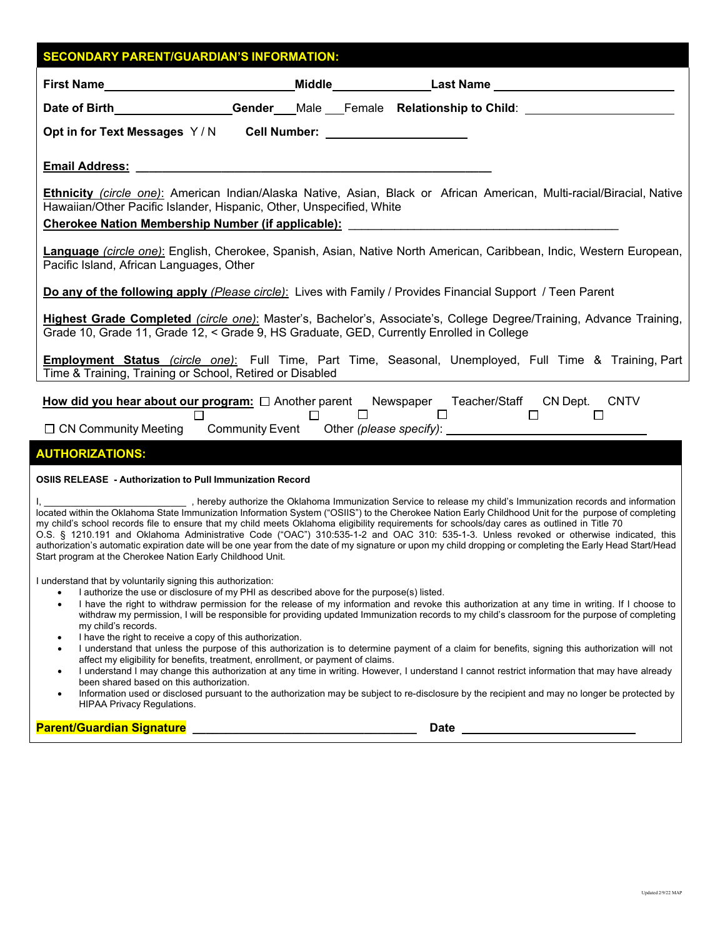| <b>SECONDARY PARENT/GUARDIAN'S INFORMATION:</b>                                                                                                                                                                                                                                                                                                                                                                                                                                                                                                                                                                                                                                                                                                                                                |                                                                                                                                                                                                                                                                                                  |  |
|------------------------------------------------------------------------------------------------------------------------------------------------------------------------------------------------------------------------------------------------------------------------------------------------------------------------------------------------------------------------------------------------------------------------------------------------------------------------------------------------------------------------------------------------------------------------------------------------------------------------------------------------------------------------------------------------------------------------------------------------------------------------------------------------|--------------------------------------------------------------------------------------------------------------------------------------------------------------------------------------------------------------------------------------------------------------------------------------------------|--|
| First Name___________________________________Middle_____________________________                                                                                                                                                                                                                                                                                                                                                                                                                                                                                                                                                                                                                                                                                                               |                                                                                                                                                                                                                                                                                                  |  |
| Date of Birth__________________Gender___Male __Female Relationship to Child: ______________________                                                                                                                                                                                                                                                                                                                                                                                                                                                                                                                                                                                                                                                                                            |                                                                                                                                                                                                                                                                                                  |  |
| Opt in for Text Messages Y/N Cell Number: _____________________                                                                                                                                                                                                                                                                                                                                                                                                                                                                                                                                                                                                                                                                                                                                |                                                                                                                                                                                                                                                                                                  |  |
|                                                                                                                                                                                                                                                                                                                                                                                                                                                                                                                                                                                                                                                                                                                                                                                                |                                                                                                                                                                                                                                                                                                  |  |
| Ethnicity (circle one): American Indian/Alaska Native, Asian, Black or African American, Multi-racial/Biracial, Native<br>Hawaiian/Other Pacific Islander, Hispanic, Other, Unspecified, White                                                                                                                                                                                                                                                                                                                                                                                                                                                                                                                                                                                                 |                                                                                                                                                                                                                                                                                                  |  |
|                                                                                                                                                                                                                                                                                                                                                                                                                                                                                                                                                                                                                                                                                                                                                                                                |                                                                                                                                                                                                                                                                                                  |  |
| Language (circle one): English, Cherokee, Spanish, Asian, Native North American, Caribbean, Indic, Western European,<br>Pacific Island, African Languages, Other                                                                                                                                                                                                                                                                                                                                                                                                                                                                                                                                                                                                                               |                                                                                                                                                                                                                                                                                                  |  |
| Do any of the following apply (Please circle): Lives with Family / Provides Financial Support / Teen Parent                                                                                                                                                                                                                                                                                                                                                                                                                                                                                                                                                                                                                                                                                    |                                                                                                                                                                                                                                                                                                  |  |
| Highest Grade Completed (circle one): Master's, Bachelor's, Associate's, College Degree/Training, Advance Training,<br>Grade 10, Grade 11, Grade 12, < Grade 9, HS Graduate, GED, Currently Enrolled in College                                                                                                                                                                                                                                                                                                                                                                                                                                                                                                                                                                                |                                                                                                                                                                                                                                                                                                  |  |
| <b>Employment Status</b> (circle one): Full Time, Part Time, Seasonal, Unemployed, Full Time & Training, Part<br>Time & Training, Training or School, Retired or Disabled Matter Community of Training, Training or School, Retired or Disabled                                                                                                                                                                                                                                                                                                                                                                                                                                                                                                                                                |                                                                                                                                                                                                                                                                                                  |  |
| <b>How did you hear about our program:</b> $\square$ Another parent Newspaper Teacher/Staff CN Dept. CNTV<br>$\square$ $\square$ $\square$                                                                                                                                                                                                                                                                                                                                                                                                                                                                                                                                                                                                                                                     |                                                                                                                                                                                                                                                                                                  |  |
| <b>AUTHORIZATIONS:</b>                                                                                                                                                                                                                                                                                                                                                                                                                                                                                                                                                                                                                                                                                                                                                                         |                                                                                                                                                                                                                                                                                                  |  |
| <b>OSIIS RELEASE - Authorization to Pull Immunization Record</b>                                                                                                                                                                                                                                                                                                                                                                                                                                                                                                                                                                                                                                                                                                                               |                                                                                                                                                                                                                                                                                                  |  |
| l, <b>contract the Oklahoma Immunization Service to release</b> my child's Immunization records and information<br>located within the Oklahoma State Immunization Information System ("OSIIS") to the Cherokee Nation Early Childhood Unit for the purpose of completing<br>my child's school records file to ensure that my child meets Oklahoma eligibility requirements for schools/day cares as outlined in Title 70<br>O.S. § 1210.191 and Oklahoma Administrative Code ("OAC") 310:535-1-2 and OAC 310: 535-1-3. Unless revoked or otherwise indicated, this<br>authorization's automatic expiration date will be one year from the date of my signature or upon my child dropping or completing the Early Head Start/Head<br>Start program at the Cherokee Nation Early Childhood Unit. |                                                                                                                                                                                                                                                                                                  |  |
| I understand that by voluntarily signing this authorization:<br>I authorize the use or disclosure of my PHI as described above for the purpose(s) listed.<br>$\bullet$                                                                                                                                                                                                                                                                                                                                                                                                                                                                                                                                                                                                                         | I have the right to withdraw permission for the release of my information and revoke this authorization at any time in writing. If I choose to                                                                                                                                                   |  |
| my child's records.                                                                                                                                                                                                                                                                                                                                                                                                                                                                                                                                                                                                                                                                                                                                                                            | withdraw my permission, I will be responsible for providing updated Immunization records to my child's classroom for the purpose of completing                                                                                                                                                   |  |
| I have the right to receive a copy of this authorization.<br>affect my eligibility for benefits, treatment, enrollment, or payment of claims.                                                                                                                                                                                                                                                                                                                                                                                                                                                                                                                                                                                                                                                  | I understand that unless the purpose of this authorization is to determine payment of a claim for benefits, signing this authorization will not                                                                                                                                                  |  |
| $\bullet$<br>been shared based on this authorization.                                                                                                                                                                                                                                                                                                                                                                                                                                                                                                                                                                                                                                                                                                                                          | I understand I may change this authorization at any time in writing. However, I understand I cannot restrict information that may have already<br>Information used or disclosed pursuant to the authorization may be subject to re-disclosure by the recipient and may no longer be protected by |  |
| $\bullet$<br><b>HIPAA Privacy Regulations.</b>                                                                                                                                                                                                                                                                                                                                                                                                                                                                                                                                                                                                                                                                                                                                                 |                                                                                                                                                                                                                                                                                                  |  |
| <b>Parent/Guardian Signature</b>                                                                                                                                                                                                                                                                                                                                                                                                                                                                                                                                                                                                                                                                                                                                                               | <b>Date</b>                                                                                                                                                                                                                                                                                      |  |